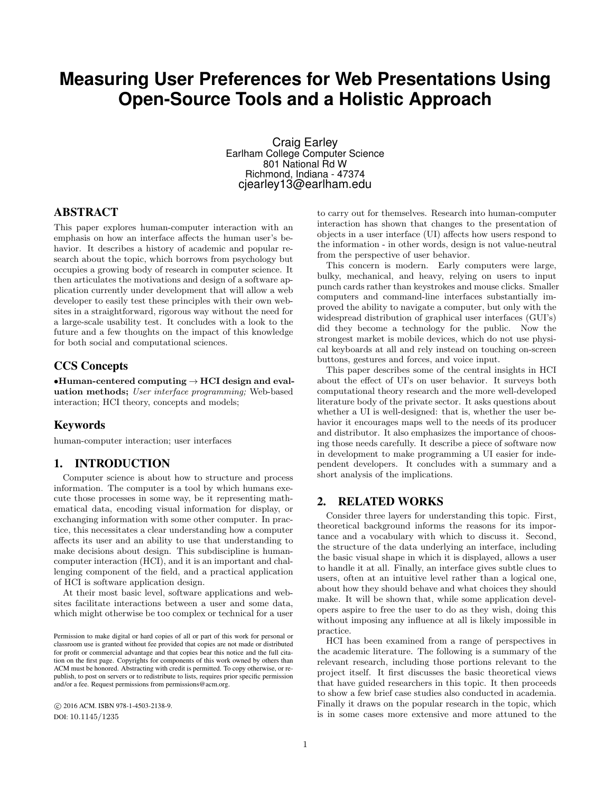# **Measuring User Preferences for Web Presentations Using Open-Source Tools and a Holistic Approach**

Craig Earley Earlham College Computer Science 801 National Rd W Richmond, Indiana - 47374 cjearley13@earlham.edu

# ABSTRACT

This paper explores human-computer interaction with an emphasis on how an interface affects the human user's behavior. It describes a history of academic and popular research about the topic, which borrows from psychology but occupies a growing body of research in computer science. It then articulates the motivations and design of a software application currently under development that will allow a web developer to easily test these principles with their own websites in a straightforward, rigorous way without the need for a large-scale usability test. It concludes with a look to the future and a few thoughts on the impact of this knowledge for both social and computational sciences.

## CCS Concepts

 $\bullet$ Human-centered computing  $\rightarrow$  HCI design and evaluation methods; User interface programming; Web-based interaction; HCI theory, concepts and models;

# Keywords

human-computer interaction; user interfaces

## 1. INTRODUCTION

Computer science is about how to structure and process information. The computer is a tool by which humans execute those processes in some way, be it representing mathematical data, encoding visual information for display, or exchanging information with some other computer. In practice, this necessitates a clear understanding how a computer affects its user and an ability to use that understanding to make decisions about design. This subdiscipline is humancomputer interaction (HCI), and it is an important and challenging component of the field, and a practical application of HCI is software application design.

At their most basic level, software applications and websites facilitate interactions between a user and some data, which might otherwise be too complex or technical for a user

 c 2016 ACM. ISBN 978-1-4503-2138-9. DOI: 10.1145/1235

to carry out for themselves. Research into human-computer interaction has shown that changes to the presentation of objects in a user interface (UI) affects how users respond to the information - in other words, design is not value-neutral from the perspective of user behavior.

This concern is modern. Early computers were large, bulky, mechanical, and heavy, relying on users to input punch cards rather than keystrokes and mouse clicks. Smaller computers and command-line interfaces substantially improved the ability to navigate a computer, but only with the widespread distribution of graphical user interfaces (GUI's) did they become a technology for the public. Now the strongest market is mobile devices, which do not use physical keyboards at all and rely instead on touching on-screen buttons, gestures and forces, and voice input.

This paper describes some of the central insights in HCI about the effect of UI's on user behavior. It surveys both computational theory research and the more well-developed literature body of the private sector. It asks questions about whether a UI is well-designed: that is, whether the user behavior it encourages maps well to the needs of its producer and distributor. It also emphasizes the importance of choosing those needs carefully. It describe a piece of software now in development to make programming a UI easier for independent developers. It concludes with a summary and a short analysis of the implications.

## 2. RELATED WORKS

Consider three layers for understanding this topic. First, theoretical background informs the reasons for its importance and a vocabulary with which to discuss it. Second, the structure of the data underlying an interface, including the basic visual shape in which it is displayed, allows a user to handle it at all. Finally, an interface gives subtle clues to users, often at an intuitive level rather than a logical one, about how they should behave and what choices they should make. It will be shown that, while some application developers aspire to free the user to do as they wish, doing this without imposing any influence at all is likely impossible in practice.

HCI has been examined from a range of perspectives in the academic literature. The following is a summary of the relevant research, including those portions relevant to the project itself. It first discusses the basic theoretical views that have guided researchers in this topic. It then proceeds to show a few brief case studies also conducted in academia. Finally it draws on the popular research in the topic, which is in some cases more extensive and more attuned to the

Permission to make digital or hard copies of all or part of this work for personal or classroom use is granted without fee provided that copies are not made or distributed for profit or commercial advantage and that copies bear this notice and the full citation on the first page. Copyrights for components of this work owned by others than ACM must be honored. Abstracting with credit is permitted. To copy otherwise, or republish, to post on servers or to redistribute to lists, requires prior specific permission and/or a fee. Request permissions from permissions@acm.org.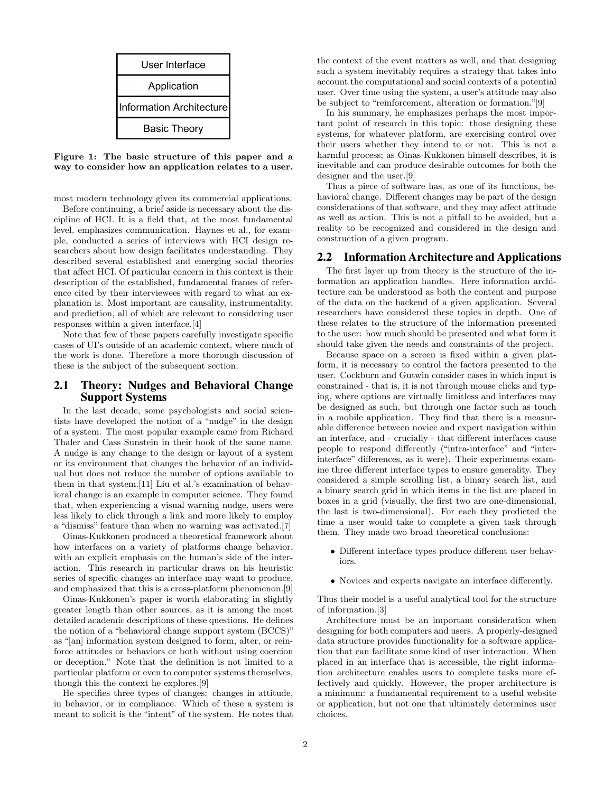

Figure 1: The basic structure of this paper and a way to consider how an application relates to a user.

most modern technology given its commercial applications.

Before continuing, a brief aside is necessary about the discipline of HCI. It is a field that, at the most fundamental level, emphasizes communication. Haynes et al., for example, conducted a series of interviews with HCI design researchers about how design facilitates understanding. They described several established and emerging social theories that affect HCI. Of particular concern in this context is their description of the established, fundamental frames of reference cited by their interviewees with regard to what an explanation is. Most important are causality, instrumentality, and prediction, all of which are relevant to considering user responses within a given interface.[4]

Note that few of these papers carefully investigate specific cases of UI's outside of an academic context, where much of the work is done. Therefore a more thorough discussion of these is the subject of the subsequent section.

# 2.1 Theory: Nudges and Behavioral Change Support Systems

In the last decade, some psychologists and social scientists have developed the notion of a "nudge" in the design of a system. The most popular example came from Richard Thaler and Cass Sunstein in their book of the same name. A nudge is any change to the design or layout of a system or its environment that changes the behavior of an individual but does not reduce the number of options available to them in that system.[11] Liu et al.'s examination of behavioral change is an example in computer science. They found that, when experiencing a visual warning nudge, users were less likely to click through a link and more likely to employ a "dismiss" feature than when no warning was activated.[7]

Oinas-Kukkonen produced a theoretical framework about how interfaces on a variety of platforms change behavior, with an explicit emphasis on the human's side of the interaction. This research in particular draws on his heuristic series of specific changes an interface may want to produce, and emphasized that this is a cross-platform phenomenon.[9]

Oinas-Kukkonen's paper is worth elaborating in slightly greater length than other sources, as it is among the most detailed academic descriptions of these questions. He defines the notion of a "behavioral change support system (BCCS)" as "[an] information system designed to form, alter, or reinforce attitudes or behaviors or both without using coercion or deception." Note that the definition is not limited to a particular platform or even to computer systems themselves, though this the context he explores.[9]

He specifies three types of changes: changes in attitude, in behavior, or in compliance. Which of these a system is meant to solicit is the "intent" of the system. He notes that

the context of the event matters as well, and that designing such a system inevitably requires a strategy that takes into account the computational and social contexts of a potential user. Over time using the system, a user's attitude may also be subject to "reinforcement, alteration or formation."[9]

In his summary, he emphasizes perhaps the most important point of research in this topic: those designing these systems, for whatever platform, are exercising control over their users whether they intend to or not. This is not a harmful process; as Oinas-Kukkonen himself describes, it is inevitable and can produce desirable outcomes for both the designer and the user.[9]

Thus a piece of software has, as one of its functions, behavioral change. Different changes may be part of the design considerations of that software, and they may affect attitude as well as action. This is not a pitfall to be avoided, but a reality to be recognized and considered in the design and construction of a given program.

## 2.2 Information Architecture and Applications

The first layer up from theory is the structure of the information an application handles. Here information architecture can be understood as both the content and purpose of the data on the backend of a given application. Several researchers have considered these topics in depth. One of these relates to the structure of the information presented to the user: how much should be presented and what form it should take given the needs and constraints of the project.

Because space on a screen is fixed within a given platform, it is necessary to control the factors presented to the user. Cockburn and Gutwin consider cases in which input is constrained - that is, it is not through mouse clicks and typing, where options are virtually limitless and interfaces may be designed as such, but through one factor such as touch in a mobile application. They find that there is a measurable difference between novice and expert navigation within an interface, and - crucially - that different interfaces cause people to respond differently ("intra-interface" and "interinterface" differences, as it were). Their experiments examine three different interface types to ensure generality. They considered a simple scrolling list, a binary search list, and a binary search grid in which items in the list are placed in boxes in a grid (visually, the first two are one-dimensional, the last is two-dimensional). For each they predicted the time a user would take to complete a given task through them. They made two broad theoretical conclusions:

- Different interface types produce different user behaviors.
- Novices and experts navigate an interface differently.

Thus their model is a useful analytical tool for the structure of information.[3]

Architecture must be an important consideration when designing for both computers and users. A properly-designed data structure provides functionality for a software application that can facilitate some kind of user interaction. When placed in an interface that is accessible, the right information architecture enables users to complete tasks more effectively and quickly. However, the proper architecture is a minimum: a fundamental requirement to a useful website or application, but not one that ultimately determines user choices.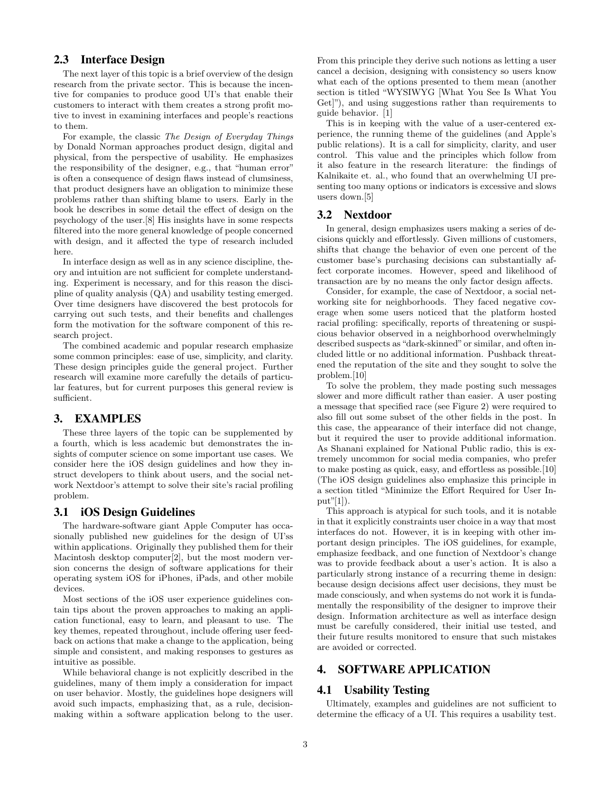# 2.3 Interface Design

The next layer of this topic is a brief overview of the design research from the private sector. This is because the incentive for companies to produce good UI's that enable their customers to interact with them creates a strong profit motive to invest in examining interfaces and people's reactions to them.

For example, the classic The Design of Everyday Things by Donald Norman approaches product design, digital and physical, from the perspective of usability. He emphasizes the responsibility of the designer, e.g., that "human error" is often a consequence of design flaws instead of clumsiness, that product designers have an obligation to minimize these problems rather than shifting blame to users. Early in the book he describes in some detail the effect of design on the psychology of the user.[8] His insights have in some respects filtered into the more general knowledge of people concerned with design, and it affected the type of research included here.

In interface design as well as in any science discipline, theory and intuition are not sufficient for complete understanding. Experiment is necessary, and for this reason the discipline of quality analysis (QA) and usability testing emerged. Over time designers have discovered the best protocols for carrying out such tests, and their benefits and challenges form the motivation for the software component of this research project.

The combined academic and popular research emphasize some common principles: ease of use, simplicity, and clarity. These design principles guide the general project. Further research will examine more carefully the details of particular features, but for current purposes this general review is sufficient.

#### 3. EXAMPLES

These three layers of the topic can be supplemented by a fourth, which is less academic but demonstrates the insights of computer science on some important use cases. We consider here the iOS design guidelines and how they instruct developers to think about users, and the social network Nextdoor's attempt to solve their site's racial profiling problem.

#### 3.1 iOS Design Guidelines

The hardware-software giant Apple Computer has occasionally published new guidelines for the design of UI'ss within applications. Originally they published them for their Macintosh desktop computer[2], but the most modern version concerns the design of software applications for their operating system iOS for iPhones, iPads, and other mobile devices.

Most sections of the iOS user experience guidelines contain tips about the proven approaches to making an application functional, easy to learn, and pleasant to use. The key themes, repeated throughout, include offering user feedback on actions that make a change to the application, being simple and consistent, and making responses to gestures as intuitive as possible.

While behavioral change is not explicitly described in the guidelines, many of them imply a consideration for impact on user behavior. Mostly, the guidelines hope designers will avoid such impacts, emphasizing that, as a rule, decisionmaking within a software application belong to the user. From this principle they derive such notions as letting a user cancel a decision, designing with consistency so users know what each of the options presented to them mean (another section is titled "WYSIWYG [What You See Is What You Get]"), and using suggestions rather than requirements to guide behavior. [1]

This is in keeping with the value of a user-centered experience, the running theme of the guidelines (and Apple's public relations). It is a call for simplicity, clarity, and user control. This value and the principles which follow from it also feature in the research literature: the findings of Kalnikaite et. al., who found that an overwhelming UI presenting too many options or indicators is excessive and slows users down.[5]

#### 3.2 Nextdoor

In general, design emphasizes users making a series of decisions quickly and effortlessly. Given millions of customers, shifts that change the behavior of even one percent of the customer base's purchasing decisions can substantially affect corporate incomes. However, speed and likelihood of transaction are by no means the only factor design affects.

Consider, for example, the case of Nextdoor, a social networking site for neighborhoods. They faced negative coverage when some users noticed that the platform hosted racial profiling: specifically, reports of threatening or suspicious behavior observed in a neighborhood overwhelmingly described suspects as "dark-skinned" or similar, and often included little or no additional information. Pushback threatened the reputation of the site and they sought to solve the problem.[10]

To solve the problem, they made posting such messages slower and more difficult rather than easier. A user posting a message that specified race (see Figure 2) were required to also fill out some subset of the other fields in the post. In this case, the appearance of their interface did not change, but it required the user to provide additional information. As Shanani explained for National Public radio, this is extremely uncommon for social media companies, who prefer to make posting as quick, easy, and effortless as possible.[10] (The iOS design guidelines also emphasize this principle in a section titled "Minimize the Effort Required for User In $put"[1]$ .

This approach is atypical for such tools, and it is notable in that it explicitly constraints user choice in a way that most interfaces do not. However, it is in keeping with other important design principles. The iOS guidelines, for example, emphasize feedback, and one function of Nextdoor's change was to provide feedback about a user's action. It is also a particularly strong instance of a recurring theme in design: because design decisions affect user decisions, they must be made consciously, and when systems do not work it is fundamentally the responsibility of the designer to improve their design. Information architecture as well as interface design must be carefully considered, their initial use tested, and their future results monitored to ensure that such mistakes are avoided or corrected.

# 4. SOFTWARE APPLICATION

#### 4.1 Usability Testing

Ultimately, examples and guidelines are not sufficient to determine the efficacy of a UI. This requires a usability test.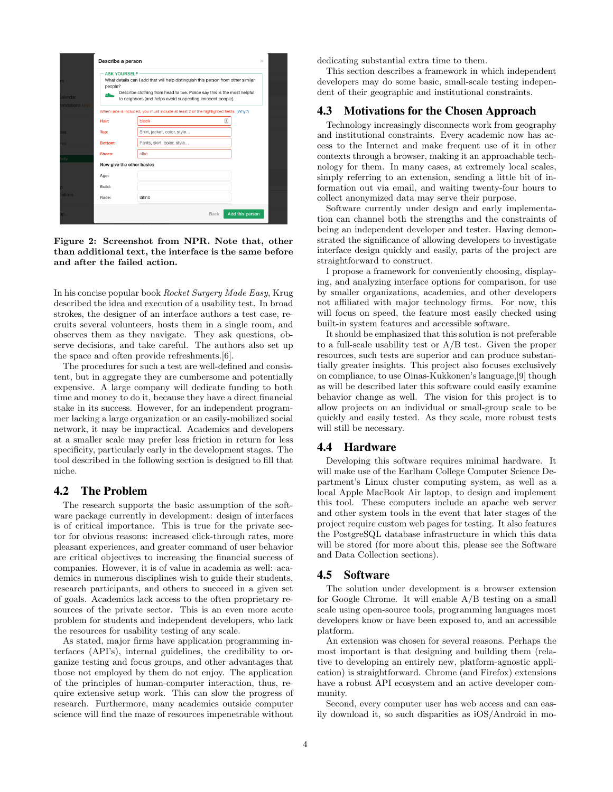|               | Describe a person                                                                                                                                                                                                                                                |                                                                                      |                                | $\times$ |
|---------------|------------------------------------------------------------------------------------------------------------------------------------------------------------------------------------------------------------------------------------------------------------------|--------------------------------------------------------------------------------------|--------------------------------|----------|
| alendar       | <b>ASK YOURSELF</b><br>What details can I add that will help distinguish this person from other similar<br>people?<br>Describe clothing from head to toe. Police say this is the most helpful<br>스<br>to neighbors (and helps avoid suspecting innocent people). |                                                                                      |                                |          |
| endations NEW |                                                                                                                                                                                                                                                                  | When race is included, you must include at least 2 of the highlighted fields. (Why?) |                                |          |
|               | Hair:                                                                                                                                                                                                                                                            | black                                                                                | 国                              |          |
| $_{\rm{BS}}$  | Top:                                                                                                                                                                                                                                                             | Shirt, jacket, color, style                                                          |                                |          |
| 59.           | Bottom:                                                                                                                                                                                                                                                          | Pants, skirt, color, style                                                           |                                |          |
|               | Shoes:                                                                                                                                                                                                                                                           | nike                                                                                 |                                |          |
|               | Now give the other basics                                                                                                                                                                                                                                        |                                                                                      |                                |          |
|               | Age:                                                                                                                                                                                                                                                             |                                                                                      |                                |          |
|               | Build:                                                                                                                                                                                                                                                           |                                                                                      |                                |          |
| ations        | Race:                                                                                                                                                                                                                                                            | latino                                                                               |                                |          |
| <b>D</b>      |                                                                                                                                                                                                                                                                  |                                                                                      | Add this person<br><b>Back</b> |          |

Figure 2: Screenshot from NPR. Note that, other than additional text, the interface is the same before and after the failed action.

In his concise popular book Rocket Surgery Made Easy, Krug described the idea and execution of a usability test. In broad strokes, the designer of an interface authors a test case, recruits several volunteers, hosts them in a single room, and observes them as they navigate. They ask questions, observe decisions, and take careful. The authors also set up the space and often provide refreshments.[6].

The procedures for such a test are well-defined and consistent, but in aggregate they are cumbersome and potentially expensive. A large company will dedicate funding to both time and money to do it, because they have a direct financial stake in its success. However, for an independent programmer lacking a large organization or an easily-mobilized social network, it may be impractical. Academics and developers at a smaller scale may prefer less friction in return for less specificity, particularly early in the development stages. The tool described in the following section is designed to fill that niche.

## 4.2 The Problem

The research supports the basic assumption of the software package currently in development: design of interfaces is of critical importance. This is true for the private sector for obvious reasons: increased click-through rates, more pleasant experiences, and greater command of user behavior are critical objectives to increasing the financial success of companies. However, it is of value in academia as well: academics in numerous disciplines wish to guide their students, research participants, and others to succeed in a given set of goals. Academics lack access to the often proprietary resources of the private sector. This is an even more acute problem for students and independent developers, who lack the resources for usability testing of any scale.

As stated, major firms have application programming interfaces (API's), internal guidelines, the credibility to organize testing and focus groups, and other advantages that those not employed by them do not enjoy. The application of the principles of human-computer interaction, thus, require extensive setup work. This can slow the progress of research. Furthermore, many academics outside computer science will find the maze of resources impenetrable without

dedicating substantial extra time to them.

This section describes a framework in which independent developers may do some basic, small-scale testing independent of their geographic and institutional constraints.

## 4.3 Motivations for the Chosen Approach

Technology increasingly disconnects work from geography and institutional constraints. Every academic now has access to the Internet and make frequent use of it in other contexts through a browser, making it an approachable technology for them. In many cases, at extremely local scales, simply referring to an extension, sending a little bit of information out via email, and waiting twenty-four hours to collect anonymized data may serve their purpose.

Software currently under design and early implementation can channel both the strengths and the constraints of being an independent developer and tester. Having demonstrated the significance of allowing developers to investigate interface design quickly and easily, parts of the project are straightforward to construct.

I propose a framework for conveniently choosing, displaying, and analyzing interface options for comparison, for use by smaller organizations, academics, and other developers not affiliated with major technology firms. For now, this will focus on speed, the feature most easily checked using built-in system features and accessible software.

It should be emphasized that this solution is not preferable to a full-scale usability test or A/B test. Given the proper resources, such tests are superior and can produce substantially greater insights. This project also focuses exclusively on compliance, to use Oinas-Kukkonen's language,[9] though as will be described later this software could easily examine behavior change as well. The vision for this project is to allow projects on an individual or small-group scale to be quickly and easily tested. As they scale, more robust tests will still be necessary.

### 4.4 Hardware

Developing this software requires minimal hardware. It will make use of the Earlham College Computer Science Department's Linux cluster computing system, as well as a local Apple MacBook Air laptop, to design and implement this tool. These computers include an apache web server and other system tools in the event that later stages of the project require custom web pages for testing. It also features the PostgreSQL database infrastructure in which this data will be stored (for more about this, please see the Software and Data Collection sections).

## 4.5 Software

The solution under development is a browser extension for Google Chrome. It will enable A/B testing on a small scale using open-source tools, programming languages most developers know or have been exposed to, and an accessible platform.

An extension was chosen for several reasons. Perhaps the most important is that designing and building them (relative to developing an entirely new, platform-agnostic application) is straightforward. Chrome (and Firefox) extensions have a robust API ecosystem and an active developer community.

Second, every computer user has web access and can easily download it, so such disparities as iOS/Android in mo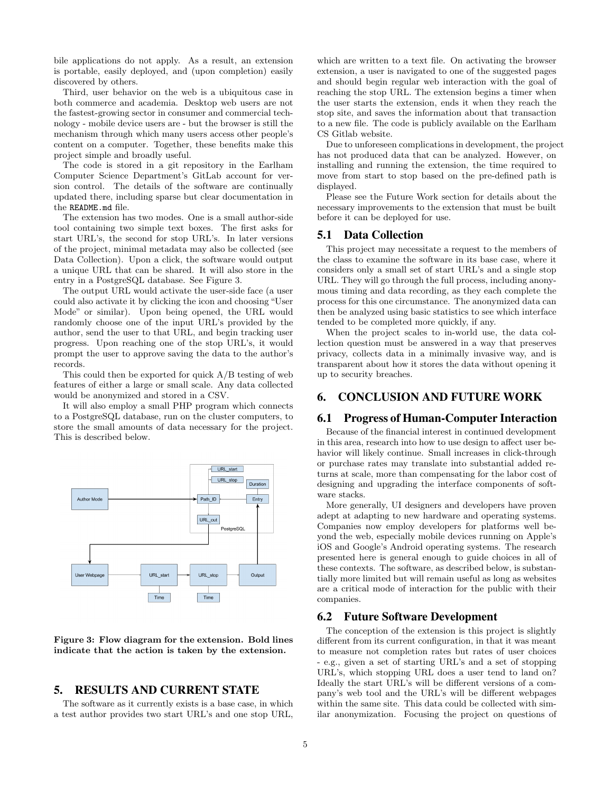bile applications do not apply. As a result, an extension is portable, easily deployed, and (upon completion) easily discovered by others.

Third, user behavior on the web is a ubiquitous case in both commerce and academia. Desktop web users are not the fastest-growing sector in consumer and commercial technology - mobile device users are - but the browser is still the mechanism through which many users access other people's content on a computer. Together, these benefits make this project simple and broadly useful.

The code is stored in a git repository in the Earlham Computer Science Department's GitLab account for version control. The details of the software are continually updated there, including sparse but clear documentation in the README.md file.

The extension has two modes. One is a small author-side tool containing two simple text boxes. The first asks for start URL's, the second for stop URL's. In later versions of the project, minimal metadata may also be collected (see Data Collection). Upon a click, the software would output a unique URL that can be shared. It will also store in the entry in a PostgreSQL database. See Figure 3.

The output URL would activate the user-side face (a user could also activate it by clicking the icon and choosing "User Mode" or similar). Upon being opened, the URL would randomly choose one of the input URL's provided by the author, send the user to that URL, and begin tracking user progress. Upon reaching one of the stop URL's, it would prompt the user to approve saving the data to the author's records.

This could then be exported for quick A/B testing of web features of either a large or small scale. Any data collected would be anonymized and stored in a CSV.

It will also employ a small PHP program which connects to a PostgreSQL database, run on the cluster computers, to store the small amounts of data necessary for the project. This is described below.



Figure 3: Flow diagram for the extension. Bold lines indicate that the action is taken by the extension.

# 5. RESULTS AND CURRENT STATE

The software as it currently exists is a base case, in which a test author provides two start URL's and one stop URL,

which are written to a text file. On activating the browser extension, a user is navigated to one of the suggested pages and should begin regular web interaction with the goal of reaching the stop URL. The extension begins a timer when the user starts the extension, ends it when they reach the stop site, and saves the information about that transaction to a new file. The code is publicly available on the Earlham CS Gitlab website.

Due to unforeseen complications in development, the project has not produced data that can be analyzed. However, on installing and running the extension, the time required to move from start to stop based on the pre-defined path is displayed.

Please see the Future Work section for details about the necessary improvements to the extension that must be built before it can be deployed for use.

## 5.1 Data Collection

This project may necessitate a request to the members of the class to examine the software in its base case, where it considers only a small set of start URL's and a single stop URL. They will go through the full process, including anonymous timing and data recording, as they each complete the process for this one circumstance. The anonymized data can then be analyzed using basic statistics to see which interface tended to be completed more quickly, if any.

When the project scales to in-world use, the data collection question must be answered in a way that preserves privacy, collects data in a minimally invasive way, and is transparent about how it stores the data without opening it up to security breaches.

# 6. CONCLUSION AND FUTURE WORK

#### 6.1 Progress of Human-Computer Interaction

Because of the financial interest in continued development in this area, research into how to use design to affect user behavior will likely continue. Small increases in click-through or purchase rates may translate into substantial added returns at scale, more than compensating for the labor cost of designing and upgrading the interface components of software stacks.

More generally, UI designers and developers have proven adept at adapting to new hardware and operating systems. Companies now employ developers for platforms well beyond the web, especially mobile devices running on Apple's iOS and Google's Android operating systems. The research presented here is general enough to guide choices in all of these contexts. The software, as described below, is substantially more limited but will remain useful as long as websites are a critical mode of interaction for the public with their companies.

#### 6.2 Future Software Development

The conception of the extension is this project is slightly different from its current configuration, in that it was meant to measure not completion rates but rates of user choices - e.g., given a set of starting URL's and a set of stopping URL's, which stopping URL does a user tend to land on? Ideally the start URL's will be different versions of a company's web tool and the URL's will be different webpages within the same site. This data could be collected with similar anonymization. Focusing the project on questions of